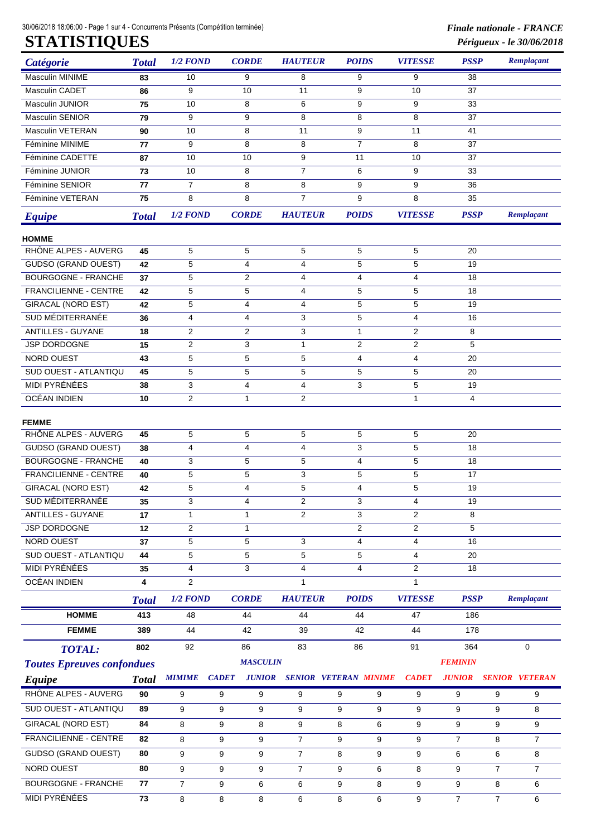30/06/2018 18:06:00 - Page 1 sur 4 - Concurrents Présents (Compétition terminée) *Finale nationale - FRANCE*

| Catégorie                         | <b>Total</b> | $1/2$ FOND     | <b>CORDE</b>                  | <b>HAUTEUR</b> | <b>POIDS</b>                 | <b>VITESSE</b>          | <b>PSSP</b>    |                | Remplaçant            |  |  |  |  |  |  |  |
|-----------------------------------|--------------|----------------|-------------------------------|----------------|------------------------------|-------------------------|----------------|----------------|-----------------------|--|--|--|--|--|--|--|
| <b>Masculin MINIME</b>            | 83           | 10             | 9                             | 8              | 9                            | 9                       | 38             |                |                       |  |  |  |  |  |  |  |
| Masculin CADET                    | 86           | 9              | 10                            | 11             | 9                            | 10                      | 37             |                |                       |  |  |  |  |  |  |  |
| Masculin JUNIOR                   | 75           | 10             | 8                             | 6              | 9                            | 9                       | 33             |                |                       |  |  |  |  |  |  |  |
| <b>Masculin SENIOR</b>            | 79           | 9              | 9                             | 8              | 8                            | 8                       | 37             |                |                       |  |  |  |  |  |  |  |
| Masculin VETERAN                  | 90           | 10             | 8                             | 11             | 9                            | 11                      | 41             |                |                       |  |  |  |  |  |  |  |
| Féminine MINIME                   | 77           | 9              | 8                             | 8              | $\overline{7}$               | 8                       | 37             |                |                       |  |  |  |  |  |  |  |
| Féminine CADETTE                  | 87           | 10             | 10                            | 9              | 11                           | 10                      | 37             |                |                       |  |  |  |  |  |  |  |
| Féminine JUNIOR                   | 73           | 10             | 8                             | $\overline{7}$ | 6                            | 9                       | 33             |                |                       |  |  |  |  |  |  |  |
| Féminine SENIOR                   | 77           | 7              | 8                             | 8              | 9                            | 9                       | 36             |                |                       |  |  |  |  |  |  |  |
| Féminine VETERAN                  | 75           | 8              | 8                             | $\overline{7}$ | 9                            | 8                       | 35             |                |                       |  |  |  |  |  |  |  |
| <b>Equipe</b>                     | <b>Total</b> | $1/2$ $FOND$   | <b>CORDE</b>                  | <b>HAUTEUR</b> | <b>POIDS</b>                 | <b>VITESSE</b>          | <b>PSSP</b>    |                | Remplaçant            |  |  |  |  |  |  |  |
| <b>HOMME</b>                      |              |                |                               |                |                              |                         |                |                |                       |  |  |  |  |  |  |  |
| RHÔNE ALPES - AUVERG              | 45           | 5              | 5                             | 5              | 5                            | 5                       | 20             |                |                       |  |  |  |  |  |  |  |
| <b>GUDSO (GRAND OUEST)</b>        | 42           | 5              | $\overline{4}$                | 4              | 5                            | 5                       | 19             |                |                       |  |  |  |  |  |  |  |
| <b>BOURGOGNE - FRANCHE</b>        | 37           | 5              | 2                             | 4              | 4                            | 4                       | 18             |                |                       |  |  |  |  |  |  |  |
| FRANCILIENNE - CENTRE             | 42           | 5              | $\mathbf 5$                   | 4              | 5                            | 5                       | 18             |                |                       |  |  |  |  |  |  |  |
| <b>GIRACAL (NORD EST)</b>         | 42           | 5              | $\overline{4}$                | $\overline{4}$ | 5                            | 5                       | 19             |                |                       |  |  |  |  |  |  |  |
| SUD MÉDITERRANÉE                  | 36           | 4              | $\overline{4}$                | 3              | 5                            | 4                       | 16             |                |                       |  |  |  |  |  |  |  |
| <b>ANTILLES - GUYANE</b>          | 18           | 2              | 2                             | 3              | $\mathbf{1}$                 | $\overline{\mathbf{c}}$ | 8              |                |                       |  |  |  |  |  |  |  |
| JSP DORDOGNE                      | 15           | 2              | 3                             | $\mathbf{1}$   | 2                            | $\overline{c}$          | 5              |                |                       |  |  |  |  |  |  |  |
| NORD OUEST                        | 43           | 5              | 5                             | 5              | 4                            | 4                       | 20             |                |                       |  |  |  |  |  |  |  |
| SUD OUEST - ATLANTIQU             | 45           | 5              | 5                             | 5              | 5                            | 5                       | 20             |                |                       |  |  |  |  |  |  |  |
| MIDI PYRÉNÉES                     | 38           | 3              | $\overline{\mathbf{4}}$       | 4              | 3                            | 5                       | 19             |                |                       |  |  |  |  |  |  |  |
| OCÉAN INDIEN                      | 10           | $\overline{2}$ | $\mathbf{1}$                  | 2              |                              | $\mathbf{1}$            | 4              |                |                       |  |  |  |  |  |  |  |
| <b>FEMME</b>                      |              |                |                               |                |                              |                         |                |                |                       |  |  |  |  |  |  |  |
| RHÔNE ALPES - AUVERG              | 45           | 5              | 5                             | 5              | 5                            | 5                       | 20             |                |                       |  |  |  |  |  |  |  |
| <b>GUDSO (GRAND OUEST)</b>        | 38           | 4              | $\overline{4}$                | 4              | 3                            | 5                       | 18             |                |                       |  |  |  |  |  |  |  |
| <b>BOURGOGNE - FRANCHE</b>        | 40           | 3              | $\mathbf 5$                   | 5              | 4                            | 5                       | 18             |                |                       |  |  |  |  |  |  |  |
| <b>FRANCILIENNE - CENTRE</b>      | 40           | 5              | 5                             | 3              | 5                            | 5                       | 17             |                |                       |  |  |  |  |  |  |  |
| <b>GIRACAL (NORD EST)</b>         | 42           | 5              | $\overline{4}$                | 5              | 4                            | 5                       | 19             |                |                       |  |  |  |  |  |  |  |
| SUD MÉDITERRANÉE                  | 35           | 3              | 4                             | $\overline{2}$ | 3                            | 4                       | 19             |                |                       |  |  |  |  |  |  |  |
| <b>ANTILLES - GUYANE</b>          | 17           | $\mathbf{1}$   | $\mathbf{1}$                  | 2              | 3                            | $\overline{2}$          | 8              |                |                       |  |  |  |  |  |  |  |
| <b>JSP DORDOGNE</b>               | 12           | 2              | $\mathbf{1}$                  |                | $\overline{2}$               | $\overline{2}$          | 5              |                |                       |  |  |  |  |  |  |  |
| NORD OUEST                        | 37           | 5              | 5                             | 3              | 4                            | 4                       | 16             |                |                       |  |  |  |  |  |  |  |
| SUD OUEST - ATLANTIQU             | 44           | 5              | 5                             | 5              | 5                            | $\overline{4}$          | 20             |                |                       |  |  |  |  |  |  |  |
| <b>MIDI PYRÉNÉES</b>              | 35           | 4              | 3                             | $\overline{4}$ | 4                            | $\overline{2}$          | 18             |                |                       |  |  |  |  |  |  |  |
| OCÉAN INDIEN                      | 4            | $\overline{2}$ |                               | $\mathbf{1}$   |                              | $\mathbf{1}$            |                |                |                       |  |  |  |  |  |  |  |
|                                   | <b>Total</b> | $1/2$ $FOND$   | <b>CORDE</b>                  | <b>HAUTEUR</b> | <b>POIDS</b>                 | <b>VITESSE</b>          | <b>PSSP</b>    |                | Remplaçant            |  |  |  |  |  |  |  |
| <b>HOMME</b>                      | 413          | 48             | 44                            | 44             | 44                           | 47                      | 186            |                |                       |  |  |  |  |  |  |  |
| <b>FEMME</b>                      | 389          | 44             | 42                            | 39             | 42                           | 44                      | 178            |                |                       |  |  |  |  |  |  |  |
| <b>TOTAL:</b>                     | 802          | 92             | 86                            | 83             | 86                           | 91                      | 364            |                | $\mathbf 0$           |  |  |  |  |  |  |  |
| <b>Toutes Epreuves confondues</b> |              |                | <b>MASCULIN</b>               |                |                              |                         | <b>FEMININ</b> |                |                       |  |  |  |  |  |  |  |
| Equipe                            | <b>Total</b> | <b>MIMIME</b>  | <b>CADET</b><br><b>JUNIOR</b> |                | <b>SENIOR VETERAN MINIME</b> | <b>CADET</b>            | <b>JUNIOR</b>  |                | <b>SENIOR VETERAN</b> |  |  |  |  |  |  |  |
| RHÔNE ALPES - AUVERG              | 90           | 9              | 9<br>9                        | 9              | 9<br>9                       | 9                       | 9              | 9              | 9                     |  |  |  |  |  |  |  |
| SUD OUEST - ATLANTIQU             | 89           | 9              | 9<br>9                        | 9              | 9<br>9                       | 9                       | 9              |                |                       |  |  |  |  |  |  |  |
| <b>GIRACAL (NORD EST)</b>         | 84           |                |                               |                |                              |                         |                |                | 9<br>8                |  |  |  |  |  |  |  |
|                                   |              | 8              | 9<br>8                        | 9              | 6<br>8                       | 9                       | 9              | 9              | 9                     |  |  |  |  |  |  |  |
| FRANCILIENNE - CENTRE             | 82           | 8              | 9<br>9                        | $\overline{7}$ | 9<br>9                       | 9                       | $\overline{7}$ | 8              | $\overline{7}$        |  |  |  |  |  |  |  |
| <b>GUDSO (GRAND OUEST)</b>        | 80           | 9              | 9<br>9                        | $\overline{7}$ | 8<br>9                       | 9                       | 6              | 6              | 8                     |  |  |  |  |  |  |  |
| NORD OUEST                        | 80           | 9              | 9<br>9                        | $\overline{7}$ | 9<br>6                       | 8                       | 9              | $\overline{7}$ | $\overline{7}$        |  |  |  |  |  |  |  |
| <b>BOURGOGNE - FRANCHE</b>        | 77           | $\overline{7}$ | 9<br>6                        | 6              | 9<br>8                       | 9                       | 9              | 8              | 6                     |  |  |  |  |  |  |  |
| MIDI PYRÉNÉES                     | 73           | 8              | 8<br>8                        | 6              | 8<br>6                       | 9                       | $\overline{7}$ | $\overline{7}$ | 6                     |  |  |  |  |  |  |  |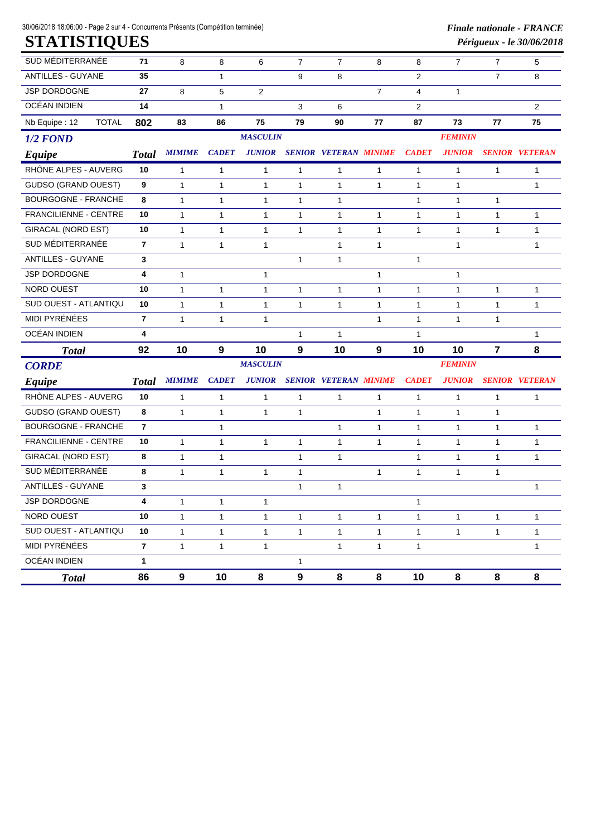30/06/2018 18:06:00 - Page 2 sur 4 - Concurrents Présents (Compétition terminée) *Finale nationale - FRANCE*

| SUD MÉDITERRANÉE              | 71<br>8        |               | 8                             | 6               | $\overline{7}$ | $\overline{7}$               | 8              | 8              | $\overline{7}$ | $\overline{7}$ | 5                     |  |  |  |  |  |  |
|-------------------------------|----------------|---------------|-------------------------------|-----------------|----------------|------------------------------|----------------|----------------|----------------|----------------|-----------------------|--|--|--|--|--|--|
| ANTILLES - GUYANE             | 35             |               | 1                             |                 | 9              | 8                            |                | $\overline{2}$ |                | 7              | 8                     |  |  |  |  |  |  |
| JSP DORDOGNE                  | 27             | 8             | 5                             | $\overline{2}$  |                |                              | $\overline{7}$ | $\overline{4}$ | 1              |                |                       |  |  |  |  |  |  |
| OCÉAN INDIEN                  | 14             |               | 1                             |                 | 3              | 6                            |                | 2              |                |                | $\overline{2}$        |  |  |  |  |  |  |
| Nb Equipe: 12<br><b>TOTAL</b> | 802            | 83            | 86                            | 75              | 79             | 90                           | 77             | 87             | 73             | 77             | 75                    |  |  |  |  |  |  |
| $1/2$ FOND                    |                |               |                               | <b>MASCULIN</b> |                |                              |                | <b>FEMININ</b> |                |                |                       |  |  |  |  |  |  |
| Equipe                        | <b>Total</b>   | <b>MIMIME</b> | <b>JUNIOR</b><br><b>CADET</b> |                 |                | <b>SENIOR VETERAN MINIME</b> |                | <b>CADET</b>   | <b>JUNIOR</b>  |                | <b>SENIOR VETERAN</b> |  |  |  |  |  |  |
| RHÔNE ALPES - AUVERG          | 10             | $\mathbf{1}$  | 1                             | 1               | 1              | 1                            | 1              | $\mathbf{1}$   | 1              | 1              | $\mathbf{1}$          |  |  |  |  |  |  |
| <b>GUDSO (GRAND OUEST)</b>    | 9              | $\mathbf{1}$  | $\mathbf{1}$                  | $\mathbf{1}$    | $\mathbf{1}$   | $\mathbf{1}$                 | $\mathbf{1}$   | $\mathbf{1}$   | $\mathbf{1}$   |                | $\mathbf{1}$          |  |  |  |  |  |  |
| <b>BOURGOGNE - FRANCHE</b>    | 8              | $\mathbf{1}$  | $\mathbf{1}$                  | $\mathbf{1}$    | $\mathbf{1}$   | 1                            |                | $\mathbf{1}$   | $\mathbf{1}$   | 1              |                       |  |  |  |  |  |  |
| <b>FRANCILIENNE - CENTRE</b>  | 10             | $\mathbf{1}$  | $\mathbf{1}$                  | $\mathbf{1}$    | $\mathbf{1}$   | 1                            | $\mathbf{1}$   | $\mathbf{1}$   | $\mathbf{1}$   | $\mathbf{1}$   | $\mathbf{1}$          |  |  |  |  |  |  |
| <b>GIRACAL (NORD EST)</b>     | 10             | $\mathbf{1}$  | $\mathbf{1}$                  | 1               | 1              | 1                            | $\mathbf{1}$   | $\mathbf{1}$   | 1              | 1              | $\mathbf{1}$          |  |  |  |  |  |  |
| SUD MÉDITERRANÉE              | $\overline{7}$ | $\mathbf{1}$  | $\mathbf{1}$                  | $\mathbf{1}$    |                | $\mathbf{1}$                 | $\mathbf{1}$   |                | $\mathbf{1}$   |                | $\mathbf{1}$          |  |  |  |  |  |  |
| <b>ANTILLES - GUYANE</b>      | 3              |               |                               |                 | $\mathbf{1}$   | 1                            |                | 1              |                |                |                       |  |  |  |  |  |  |
| <b>JSP DORDOGNE</b>           | 4              | $\mathbf{1}$  |                               | $\mathbf{1}$    |                |                              | $\mathbf{1}$   |                | $\mathbf{1}$   |                |                       |  |  |  |  |  |  |
| NORD OUEST                    | 10             | $\mathbf{1}$  | $\mathbf{1}$                  | $\mathbf{1}$    | 1              | 1                            | $\mathbf{1}$   | $\mathbf{1}$   | 1              | 1              | $\mathbf{1}$          |  |  |  |  |  |  |
| SUD OUEST - ATLANTIQU         | 10             | $\mathbf{1}$  | $\mathbf{1}$                  | $\mathbf{1}$    | 1              | 1                            | $\mathbf{1}$   | $\mathbf{1}$   | $\mathbf{1}$   | $\mathbf{1}$   | $\mathbf{1}$          |  |  |  |  |  |  |
| <b>MIDI PYRÉNÉES</b>          | $\overline{7}$ | $\mathbf{1}$  | $\mathbf{1}$                  | $\mathbf{1}$    |                |                              | $\mathbf{1}$   | $\mathbf{1}$   | $\mathbf{1}$   | 1              |                       |  |  |  |  |  |  |
| OCÉAN INDIEN                  | 4              |               |                               |                 | 1              | 1                            |                | $\mathbf{1}$   |                |                | $\mathbf{1}$          |  |  |  |  |  |  |
| <b>Total</b>                  | 92             | 10            | 9<br>10                       |                 | 9              | 10                           | 9              | 10             | 10             | $\overline{7}$ | 8                     |  |  |  |  |  |  |
| <b>CORDE</b>                  |                |               |                               | <b>MASCULIN</b> |                |                              | <b>FEMININ</b> |                |                |                |                       |  |  |  |  |  |  |
| Equipe                        | <b>Total</b>   | <b>MIMIME</b> | <b>CADET</b>                  | <b>JUNIOR</b>   |                | <b>SENIOR VETERAN MINIME</b> |                | <b>CADET</b>   | <b>JUNIOR</b>  |                | <b>SENIOR VETERAN</b> |  |  |  |  |  |  |
| RHÔNE ALPES - AUVERG          | 10             | 1             | 1                             | $\mathbf{1}$    | 1              | 1                            | $\mathbf{1}$   | 1              | 1              | $\mathbf{1}$   | 1                     |  |  |  |  |  |  |
| <b>GUDSO (GRAND OUEST)</b>    | 8              | $\mathbf{1}$  | $\mathbf{1}$                  | $\mathbf{1}$    | 1              |                              | $\mathbf{1}$   | $\mathbf{1}$   | $\mathbf{1}$   | $\mathbf{1}$   |                       |  |  |  |  |  |  |
| <b>BOURGOGNE - FRANCHE</b>    | $\overline{7}$ |               | 1                             |                 |                | 1                            | $\mathbf{1}$   | $\mathbf{1}$   | $\mathbf{1}$   | $\mathbf{1}$   | 1                     |  |  |  |  |  |  |
| <b>FRANCILIENNE - CENTRE</b>  | 10             | $\mathbf{1}$  | $\mathbf{1}$                  | $\mathbf{1}$    | 1              | $\mathbf{1}$                 | $\mathbf{1}$   | $\mathbf{1}$   | $\mathbf{1}$   | $\mathbf{1}$   | $\mathbf{1}$          |  |  |  |  |  |  |
| <b>GIRACAL (NORD EST)</b>     | 8              | $\mathbf{1}$  | $\mathbf{1}$                  |                 | $\mathbf{1}$   | 1                            |                | $\mathbf{1}$   | 1              | $\mathbf{1}$   | $\mathbf{1}$          |  |  |  |  |  |  |
| SUD MÉDITERRANÉE              | 8              | $\mathbf{1}$  | $\mathbf{1}$                  | $\mathbf{1}$    | 1              |                              | $\mathbf{1}$   | $\mathbf{1}$   | $\mathbf{1}$   | $\mathbf{1}$   |                       |  |  |  |  |  |  |
| <b>ANTILLES - GUYANE</b>      | 3              |               |                               |                 | $\mathbf{1}$   | 1                            |                |                |                |                | $\mathbf{1}$          |  |  |  |  |  |  |
| JSP DORDOGNE                  | 4              | $\mathbf{1}$  | $\mathbf{1}$                  | $\mathbf{1}$    |                |                              |                | $\mathbf{1}$   |                |                |                       |  |  |  |  |  |  |
| NORD OUEST                    | 10             | $\mathbf{1}$  | $\mathbf{1}$                  | 1               | $\mathbf{1}$   | $\mathbf{1}$                 | $\mathbf{1}$   | $\mathbf{1}$   | $\mathbf{1}$   | $\mathbf{1}$   | $\mathbf{1}$          |  |  |  |  |  |  |
| SUD OUEST - ATLANTIQU         | 10             | $\mathbf{1}$  | $\mathbf{1}$                  | $\mathbf{1}$    | $\mathbf{1}$   | $\mathbf{1}$                 | $\mathbf{1}$   | $\mathbf{1}$   | $\mathbf{1}$   | $\mathbf{1}$   | $\mathbf{1}$          |  |  |  |  |  |  |
| MIDI PYRÉNÉES                 | $\mathbf{7}$   | $\mathbf{1}$  | $\mathbf{1}$                  | $\mathbf{1}$    |                | $\mathbf{1}$                 | $\mathbf{1}$   | $\mathbf{1}$   |                |                | $\mathbf{1}$          |  |  |  |  |  |  |
| OCÉAN INDIEN                  | $\mathbf{1}$   |               |                               |                 | 1              |                              |                |                |                |                |                       |  |  |  |  |  |  |
| <b>Total</b>                  | 86             | 9             | 10                            | 8               | 9              | 8                            | 8              | 10             | 8              | 8              | 8                     |  |  |  |  |  |  |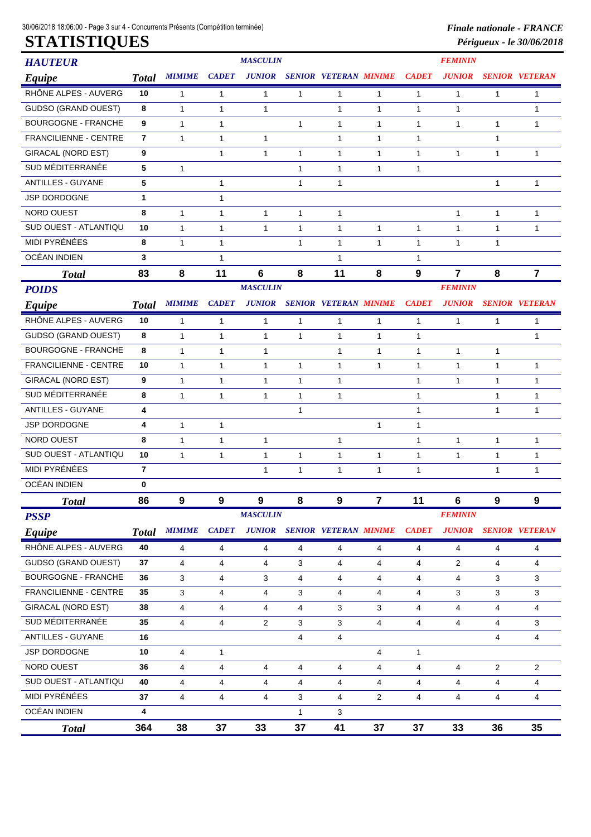| <b>HAUTEUR</b>               |                |                |              | <b>MASCULIN</b> |              |                              |                         |                | <b>FEMININ</b> |                |                       |  |  |  |
|------------------------------|----------------|----------------|--------------|-----------------|--------------|------------------------------|-------------------------|----------------|----------------|----------------|-----------------------|--|--|--|
| Equipe                       | <b>Total</b>   | <b>MIMIME</b>  | <b>CADET</b> | <b>JUNIOR</b>   |              | <b>SENIOR VETERAN MINIME</b> |                         | <b>CADET</b>   | <b>JUNIOR</b>  |                | <b>SENIOR VETERAN</b> |  |  |  |
| RHÔNE ALPES - AUVERG         | 10             | 1              | 1            | 1               | 1            | 1                            | 1                       | 1              | 1              | 1              | 1                     |  |  |  |
| <b>GUDSO (GRAND OUEST)</b>   | 8              | 1              | 1            | 1               |              | $\mathbf{1}$                 | 1                       | $\mathbf{1}$   | 1              |                | 1                     |  |  |  |
| <b>BOURGOGNE - FRANCHE</b>   | 9              | $\mathbf{1}$   | 1            |                 | 1            | 1                            | 1                       | 1              | 1              | 1              | 1                     |  |  |  |
| <b>FRANCILIENNE - CENTRE</b> | $\overline{7}$ | 1              | 1            | 1               |              | 1                            | 1                       | $\mathbf{1}$   |                | 1              |                       |  |  |  |
| <b>GIRACAL (NORD EST)</b>    | 9              |                | 1            | 1               | 1            | 1                            | 1                       | 1              | 1              | 1              | 1                     |  |  |  |
| SUD MÉDITERRANÉE             | 5              | $\mathbf{1}$   |              |                 | $\mathbf{1}$ | 1                            | 1                       | $\mathbf{1}$   |                |                |                       |  |  |  |
| <b>ANTILLES - GUYANE</b>     | 5              |                | 1            |                 | 1            | 1                            |                         |                |                | 1              | 1                     |  |  |  |
| JSP DORDOGNE                 | $\mathbf{1}$   |                | 1            |                 |              |                              |                         |                |                |                |                       |  |  |  |
| <b>NORD OUEST</b>            | 8              | 1              | 1            | $\mathbf{1}$    | 1            | 1                            |                         |                | $\mathbf{1}$   | 1              | 1                     |  |  |  |
| SUD OUEST - ATLANTIQU        | 10             | 1              | 1            | 1               | 1            | 1                            | 1                       | $\mathbf{1}$   | 1              | 1              | 1                     |  |  |  |
| MIDI PYRÉNÉES                | 8              | $\mathbf{1}$   | 1            |                 | 1            | 1                            | 1                       | 1              | 1              | 1              |                       |  |  |  |
| OCÉAN INDIEN                 | 3              |                | 1            |                 |              | 1                            |                         | $\mathbf{1}$   |                |                |                       |  |  |  |
| <b>Total</b>                 | 83             | 8              | 11           | 6               | 8            | 11                           | 8                       | 9              | 7              | 8              | $\overline{7}$        |  |  |  |
| <b>POIDS</b>                 |                |                |              | <b>MASCULIN</b> |              |                              |                         |                | <b>FEMININ</b> |                |                       |  |  |  |
| Equipe                       | <b>Total</b>   | <b>MIMIME</b>  | <b>CADET</b> | <b>JUNIOR</b>   |              | <b>SENIOR VETERAN MINIME</b> |                         | <b>CADET</b>   | <b>JUNIOR</b>  |                | <b>SENIOR VETERAN</b> |  |  |  |
| RHÔNE ALPES - AUVERG         | 10             | 1              | 1            | $\mathbf{1}$    | $\mathbf{1}$ | 1                            | 1                       | $\mathbf{1}$   | 1              | $\mathbf{1}$   | 1                     |  |  |  |
| <b>GUDSO (GRAND OUEST)</b>   | 8              | 1              | 1            | $\mathbf{1}$    | $\mathbf{1}$ | $\mathbf{1}$                 | 1                       | $\mathbf{1}$   |                |                | $\mathbf{1}$          |  |  |  |
| <b>BOURGOGNE - FRANCHE</b>   | 8              | $\mathbf{1}$   | $\mathbf{1}$ | 1               |              | $\mathbf{1}$                 | 1                       | $\mathbf{1}$   | 1              | $\mathbf{1}$   |                       |  |  |  |
| <b>FRANCILIENNE - CENTRE</b> | 10             | 1              | 1            | $\mathbf{1}$    | $\mathbf{1}$ | $\mathbf{1}$                 | 1                       | $\mathbf{1}$   | 1              | 1              | $\mathbf{1}$          |  |  |  |
| <b>GIRACAL (NORD EST)</b>    | 9              | 1              | 1            | $\mathbf{1}$    | 1            | 1                            |                         | $\mathbf{1}$   | 1              | 1              | 1                     |  |  |  |
| SUD MÉDITERRANÉE             | 8              | 1              | 1            | 1               | 1            | 1                            |                         | $\mathbf{1}$   |                | 1              | 1                     |  |  |  |
| ANTILLES - GUYANE            | 4              |                |              |                 | 1            |                              |                         | $\mathbf{1}$   |                | 1              | 1                     |  |  |  |
| JSP DORDOGNE                 | 4              | 1              | 1            |                 |              |                              | 1                       | $\mathbf{1}$   |                |                |                       |  |  |  |
| <b>NORD OUEST</b>            | 8              | 1              | 1            | $\mathbf{1}$    |              | 1                            |                         | $\mathbf{1}$   | 1              | $\mathbf{1}$   | 1                     |  |  |  |
| SUD OUEST - ATLANTIQU        | 10             | 1              | $\mathbf{1}$ | $\mathbf{1}$    | $\mathbf{1}$ | $\mathbf{1}$                 | 1                       | $\mathbf{1}$   | $\mathbf{1}$   | 1              | 1                     |  |  |  |
| MIDI PYRÉNÉES                | 7              |                |              | $\mathbf{1}$    | $\mathbf{1}$ | 1                            | 1                       | $\mathbf{1}$   |                | 1              | 1                     |  |  |  |
| OCÉAN INDIEN                 | 0              |                |              |                 |              |                              |                         |                |                |                |                       |  |  |  |
| <b>Total</b>                 | 86             | 9              | 9            | 9               | 8            | 9                            | $\overline{\mathbf{7}}$ | 11             | 6              | 9              | $\boldsymbol{9}$      |  |  |  |
| <b>PSSP</b>                  |                |                |              | <b>MASCULIN</b> |              |                              |                         |                | <b>FEMININ</b> |                |                       |  |  |  |
| Equipe                       | <b>Total</b>   | <b>MIMIME</b>  | <b>CADET</b> | <b>JUNIOR</b>   |              | <b>SENIOR VETERAN MINIME</b> |                         | <b>CADET</b>   | <b>JUNIOR</b>  |                | <b>SENIOR VETERAN</b> |  |  |  |
| RHÔNE ALPES - AUVERG         | 40             | 4              | 4            | 4               | 4            | 4                            | 4                       | 4              | 4              | 4              | 4                     |  |  |  |
| <b>GUDSO (GRAND OUEST)</b>   | 37             | $\overline{4}$ | 4            | 4               | 3            | 4                            | 4                       | $\overline{4}$ | $\overline{c}$ | 4              | 4                     |  |  |  |
| <b>BOURGOGNE - FRANCHE</b>   | 36             | 3              | 4            | 3               | 4            | 4                            | 4                       | 4              | 4              | 3              | 3                     |  |  |  |
| FRANCILIENNE - CENTRE        | 35             | 3              | 4            | 4               | 3            | 4                            | 4                       | $\overline{4}$ | 3              | 3              | 3                     |  |  |  |
| <b>GIRACAL (NORD EST)</b>    | 38             | 4              | 4            | 4               | 4            | 3                            | 3                       | 4              | 4              | 4              | 4                     |  |  |  |
| SUD MÉDITERRANÉE             | 35             | 4              | 4            | $\overline{c}$  | 3            | 3                            | 4                       | $\overline{4}$ | $\overline{4}$ | 4              | 3                     |  |  |  |
| ANTILLES - GUYANE            | 16             |                |              |                 | 4            | 4                            |                         |                |                | 4              | 4                     |  |  |  |
| JSP DORDOGNE                 | 10             | 4              | $\mathbf{1}$ |                 |              |                              | 4                       | $\mathbf{1}$   |                |                |                       |  |  |  |
| NORD OUEST                   | 36             | 4              | 4            | 4               | 4            | 4                            | 4                       | $\overline{4}$ | 4              | $\overline{2}$ | $\overline{2}$        |  |  |  |
| SUD OUEST - ATLANTIQU        | 40             | 4              | 4            | 4               | 4            | 4                            | 4                       | $\overline{4}$ | 4              | 4              | 4                     |  |  |  |
| MIDI PYRÉNÉES                | 37             | 4              | 4            | 4               | 3            | 4                            | $\overline{2}$          | 4              | 4              | 4              | 4                     |  |  |  |
| OCÉAN INDIEN                 | 4              |                |              |                 | $\mathbf{1}$ | 3                            |                         |                |                |                |                       |  |  |  |
| <b>Total</b>                 | 364            | 38             | 37           | 33              | 37           | 41                           | 37                      | 37             | 33             | 36             | 35                    |  |  |  |